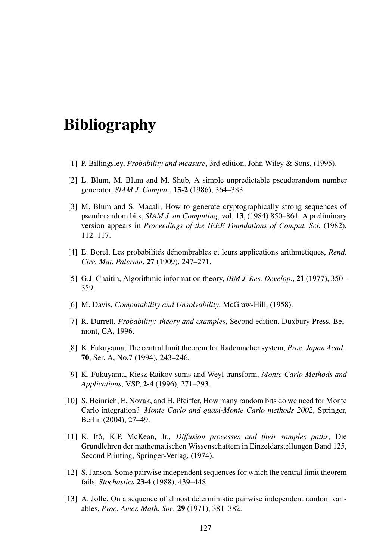## Bibliography

- [1] P. Billingsley, *Probability and measure*, 3rd edition, John Wiley & Sons, (1995).
- [2] L. Blum, M. Blum and M. Shub, A simple unpredictable pseudorandom number generator, *SIAM J. Comput.*, 15-2 (1986), 364–383.
- [3] M. Blum and S. Macali, How to generate cryptographically strong sequences of pseudorandom bits, *SIAM J. on Computing*, vol. 13, (1984) 850–864. A preliminary version appears in *Proceedings of the IEEE Foundations of Comput. Sci.* (1982), 112–117.
- [4] E. Borel, Les probabilités dénombrables et leurs applications arithmétiques, *Rend. Circ. Mat. Palermo*, 27 (1909), 247–271.
- [5] G.J. Chaitin, Algorithmic information theory, *IBM J. Res. Develop.*, 21 (1977), 350– 359.
- [6] M. Davis, *Computability and Unsolvability*, McGraw-Hill, (1958).
- [7] R. Durrett, *Probability: theory and examples*, Second edition. Duxbury Press, Belmont, CA, 1996.
- [8] K. Fukuyama, The central limit theorem for Rademacher system, *Proc. Japan Acad.*, 70, Ser. A, No.7 (1994), 243–246.
- [9] K. Fukuyama, Riesz-Raikov sums and Weyl transform, *Monte Carlo Methods and Applications*, VSP, 2-4 (1996), 271–293.
- [10] S. Heinrich, E. Novak, and H. Pfeiffer, How many random bits do we need for Monte Carlo integration? *Monte Carlo and quasi-Monte Carlo methods 2002*, Springer, Berlin (2004), 27–49.
- [11] K. Ito, K.P. McKean, Jr., ˆ *Di*ff*usion processes and their samples paths*, Die Grundlehren der mathematischen Wissenschaftem in Einzeldarstellungen Band 125, Second Printing, Springer-Verlag, (1974).
- [12] S. Janson, Some pairwise independent sequences for which the central limit theorem fails, *Stochastics* 23-4 (1988), 439–448.
- [13] A. Joffe, On a sequence of almost deterministic pairwise independent random variables, *Proc. Amer. Math. Soc.* 29 (1971), 381–382.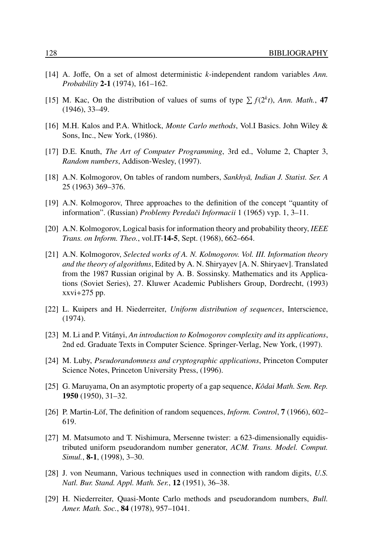- [14] A. Joffe, On a set of almost deterministic *k*-independent random variables *Ann. Probability* 2-1 (1974), 161–162.
- [15] M. Kac, On the distribution of values of sums of type  $\sum f(2^k t)$ , *Ann. Math.*, 47 (1946), 33–49.
- [16] M.H. Kalos and P.A. Whitlock, *Monte Carlo methods*, Vol.I Basics. John Wiley & Sons, Inc., New York, (1986).
- [17] D.E. Knuth, *The Art of Computer Programming*, 3rd ed., Volume 2, Chapter 3, *Random numbers*, Addison-Wesley, (1997).
- [18] A.N. Kolmogorov, On tables of random numbers, *Sankhyā, Indian J. Statist. Ser. A* 25 (1963) 369–376.
- [19] A.N. Kolmogorov, Three approaches to the definition of the concept "quantity of information". (Russian) *Problemy Peredaˇci Informacii* 1 (1965) vyp. 1, 3–11.
- [20] A.N. Kolmogorov, Logical basis for information theory and probability theory, *IEEE Trans. on Inform. Theo.*, vol.IT-14-5, Sept. (1968), 662–664.
- [21] A.N. Kolmogorov, *Selected works of A. N. Kolmogorov. Vol. III. Information theory and the theory of algorithms*, Edited by A. N. Shiryayev [A. N. Shiryaev]. Translated from the 1987 Russian original by A. B. Sossinsky. Mathematics and its Applications (Soviet Series), 27. Kluwer Academic Publishers Group, Dordrecht, (1993)  $xxvi+275$  pp.
- [22] L. Kuipers and H. Niederreiter, *Uniform distribution of sequences*, Interscience, (1974).
- [23] M. Li and P. Vitányi, An introduction to Kolmogorov complexity and its applications, 2nd ed. Graduate Texts in Computer Science. Springer-Verlag, New York, (1997).
- [24] M. Luby, *Pseudorandomness and cryptographic applications*, Princeton Computer Science Notes, Princeton University Press, (1996).
- [25] G. Maruyama, On an asymptotic property of a gap sequence, *Kˆodai Math. Sem. Rep.* 1950 (1950), 31–32.
- [26] P. Martin-Löf, The definition of random sequences, *Inform. Control*, **7** (1966), 602– 619.
- [27] M. Matsumoto and T. Nishimura, Mersenne twister: a 623-dimensionally equidistributed uniform pseudorandom number generator, *ACM. Trans. Model. Comput. Simul.*, 8-1, (1998), 3–30.
- [28] J. von Neumann, Various techniques used in connection with random digits, *U.S. Natl. Bur. Stand. Appl. Math. Ser.*, 12 (1951), 36–38.
- [29] H. Niederreiter, Quasi-Monte Carlo methods and pseudorandom numbers, *Bull. Amer. Math. Soc.*, 84 (1978), 957–1041.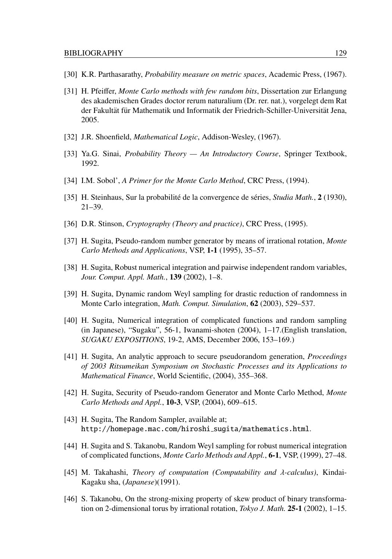- [30] K.R. Parthasarathy, *Probability measure on metric spaces*, Academic Press, (1967).
- [31] H. Pfeiffer, *Monte Carlo methods with few random bits*, Dissertation zur Erlangung des akademischen Grades doctor rerum naturalium (Dr. rer. nat.), vorgelegt dem Rat der Fakultät für Mathematik und Informatik der Friedrich-Schiller-Universität Jena, 2005.
- [32] J.R. Shoenfield, *Mathematical Logic*, Addison-Wesley, (1967).
- [33] Ya.G. Sinai, *Probability Theory An Introductory Course*, Springer Textbook, 1992.
- [34] I.M. Sobol', *A Primer for the Monte Carlo Method*, CRC Press, (1994).
- [35] H. Steinhaus, Sur la probabilité de la convergence de séries, *Studia Math.*, 2 (1930), 21–39.
- [36] D.R. Stinson, *Cryptography (Theory and practice)*, CRC Press, (1995).
- [37] H. Sugita, Pseudo-random number generator by means of irrational rotation, *Monte Carlo Methods and Applications*, VSP, 1-1 (1995), 35–57.
- [38] H. Sugita, Robust numerical integration and pairwise independent random variables, *Jour. Comput. Appl. Math.*, 139 (2002), 1–8.
- [39] H. Sugita, Dynamic random Weyl sampling for drastic reduction of randomness in Monte Carlo integration, *Math. Comput. Simulation*, 62 (2003), 529–537.
- [40] H. Sugita, Numerical integration of complicated functions and random sampling (in Japanese), "Sugaku", 56-1, Iwanami-shoten (2004), 1–17.(English translation, *SUGAKU EXPOSITIONS*, 19-2, AMS, December 2006, 153–169.)
- [41] H. Sugita, An analytic approach to secure pseudorandom generation, *Proceedings of 2003 Ritsumeikan Symposium on Stochastic Processes and its Applications to Mathematical Finance*, World Scientific, (2004), 355–368.
- [42] H. Sugita, Security of Pseudo-random Generator and Monte Carlo Method, *Monte Carlo Methods and Appl.*, 10-3, VSP, (2004), 609–615.
- [43] H. Sugita, The Random Sampler, available at; http://homepage.mac.com/hiroshi sugita/mathematics.html.
- [44] H. Sugita and S. Takanobu, Random Weyl sampling for robust numerical integration of complicated functions, *Monte Carlo Methods and Appl.*, 6-1, VSP, (1999), 27–48.
- [45] M. Takahashi, *Theory of computation (Computability and* λ*-calculus)*, Kindai-Kagaku sha, (*Japanese*)(1991).
- [46] S. Takanobu, On the strong-mixing property of skew product of binary transformation on 2-dimensional torus by irrational rotation, *Tokyo J. Math.* 25-1 (2002), 1–15.